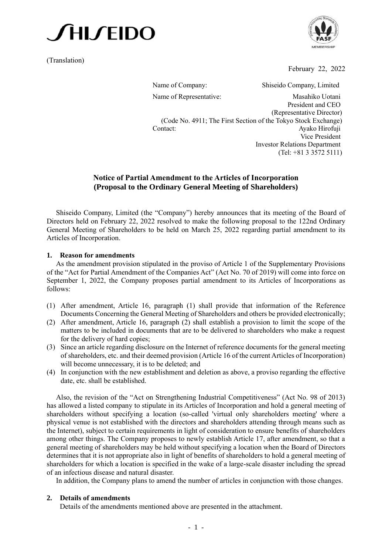

(Translation)



February 22, 2022

Name of Company: Shiseido Company, Limited Name of Representative: Masahiko Uotani President and CEO (Representative Director) (Code No. 4911; The First Section of the Tokyo Stock Exchange) Contact: Ayako Hirofuji Vice President Investor Relations Department (Tel: +81 3 3572 5111)

## **Notice of Partial Amendment to the Articles of Incorporation (Proposal to the Ordinary General Meeting of Shareholders)**

Shiseido Company, Limited (the "Company") hereby announces that its meeting of the Board of Directors held on February 22, 2022 resolved to make the following proposal to the 122nd Ordinary General Meeting of Shareholders to be held on March 25, 2022 regarding partial amendment to its Articles of Incorporation.

#### **1. Reason for amendments**

As the amendment provision stipulated in the proviso of Article 1 of the Supplementary Provisions of the "Act for Partial Amendment of the Companies Act" (Act No. 70 of 2019) will come into force on September 1, 2022, the Company proposes partial amendment to its Articles of Incorporations as follows:

- (1) After amendment, Article 16, paragraph (1) shall provide that information of the Reference Documents Concerning the General Meeting of Shareholders and others be provided electronically;
- (2) After amendment, Article 16, paragraph (2) shall establish a provision to limit the scope of the matters to be included in documents that are to be delivered to shareholders who make a request for the delivery of hard copies;
- (3) Since an article regarding disclosure on the Internet of reference documents for the general meeting of shareholders, etc. and their deemed provision (Article 16 of the current Articles of Incorporation) will become unnecessary, it is to be deleted; and
- (4) In conjunction with the new establishment and deletion as above, a proviso regarding the effective date, etc. shall be established.

Also, the revision of the "Act on Strengthening Industrial Competitiveness" (Act No. 98 of 2013) has allowed a listed company to stipulate in its Articles of Incorporation and hold a general meeting of shareholders without specifying a location (so-called 'virtual only shareholders meeting' where a physical venue is not established with the directors and shareholders attending through means such as the Internet), subject to certain requirements in light of consideration to ensure benefits of shareholders among other things. The Company proposes to newly establish Article 17, after amendment, so that a general meeting of shareholders may be held without specifying a location when the Board of Directors determines that it is not appropriate also in light of benefits of shareholders to hold a general meeting of shareholders for which a location is specified in the wake of a large-scale disaster including the spread of an infectious disease and natural disaster.

In addition, the Company plans to amend the number of articles in conjunction with those changes.

#### **2. Details of amendments**

Details of the amendments mentioned above are presented in the attachment.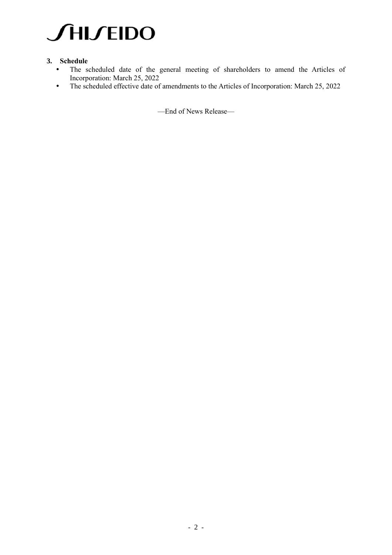

### **3. Schedule**

- The scheduled date of the general meeting of shareholders to amend the Articles of Incorporation: March 25, 2022
- The scheduled effective date of amendments to the Articles of Incorporation: March 25, 2022

—End of News Release—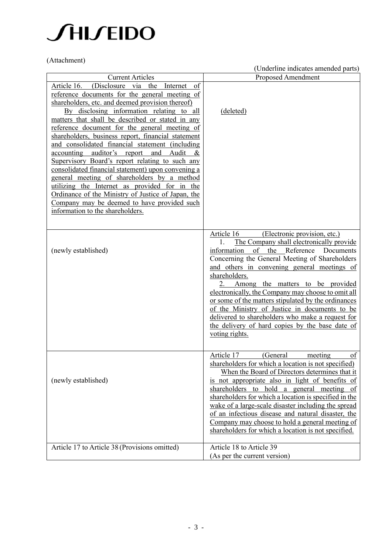## **JHIJEIDO**

(Attachment)

|                                                                                                                                                                                                                                                                                                                                                                                                                                                                                                                                                                                                                                                                                                                                                                                                                 | (Underline indicates amended parts)                                                                                                                                                                                                                                                                                                                                                                                                                                                                                                                                                             |
|-----------------------------------------------------------------------------------------------------------------------------------------------------------------------------------------------------------------------------------------------------------------------------------------------------------------------------------------------------------------------------------------------------------------------------------------------------------------------------------------------------------------------------------------------------------------------------------------------------------------------------------------------------------------------------------------------------------------------------------------------------------------------------------------------------------------|-------------------------------------------------------------------------------------------------------------------------------------------------------------------------------------------------------------------------------------------------------------------------------------------------------------------------------------------------------------------------------------------------------------------------------------------------------------------------------------------------------------------------------------------------------------------------------------------------|
| <b>Current Articles</b>                                                                                                                                                                                                                                                                                                                                                                                                                                                                                                                                                                                                                                                                                                                                                                                         | <b>Proposed Amendment</b>                                                                                                                                                                                                                                                                                                                                                                                                                                                                                                                                                                       |
| (Disclosure via the Internet of<br>Article 16.<br>reference documents for the general meeting of<br>shareholders, etc. and deemed provision thereof)<br>By disclosing information relating to all<br>matters that shall be described or stated in any<br>reference document for the general meeting of<br>shareholders, business report, financial statement<br>and consolidated financial statement (including<br>accounting auditor's report and Audit<br>&<br>Supervisory Board's report relating to such any<br>consolidated financial statement) upon convening a<br>general meeting of shareholders by a method<br>utilizing the Internet as provided for in the<br>Ordinance of the Ministry of Justice of Japan, the<br>Company may be deemed to have provided such<br>information to the shareholders. | (deleted)                                                                                                                                                                                                                                                                                                                                                                                                                                                                                                                                                                                       |
| (newly established)                                                                                                                                                                                                                                                                                                                                                                                                                                                                                                                                                                                                                                                                                                                                                                                             | Article 16<br>(Electronic provision, etc.)<br>The Company shall electronically provide<br>1.<br>of the Reference<br>information<br>Documents<br>Concerning the General Meeting of Shareholders<br>and others in convening general meetings of<br>shareholders.<br>Among the matters to be provided<br>2.<br>electronically, the Company may choose to omit all<br>or some of the matters stipulated by the ordinances<br>of the Ministry of Justice in documents to be<br>delivered to shareholders who make a request for<br>the delivery of hard copies by the base date of<br>voting rights. |
| (newly established)                                                                                                                                                                                                                                                                                                                                                                                                                                                                                                                                                                                                                                                                                                                                                                                             | of<br>Article 17<br>meeting<br>(General<br>shareholders for which a location is not specified)<br>When the Board of Directors determines that it<br>is not appropriate also in light of benefits of<br>shareholders to hold<br>a general meeting of<br>shareholders for which a location is specified in the<br>wake of a large-scale disaster including the spread<br>of an infectious disease and natural disaster, the<br>Company may choose to hold a general meeting of<br>shareholders for which a location is not specified.                                                             |
| Article 17 to Article 38 (Provisions omitted)                                                                                                                                                                                                                                                                                                                                                                                                                                                                                                                                                                                                                                                                                                                                                                   | Article 18 to Article 39<br>(As per the current version)                                                                                                                                                                                                                                                                                                                                                                                                                                                                                                                                        |